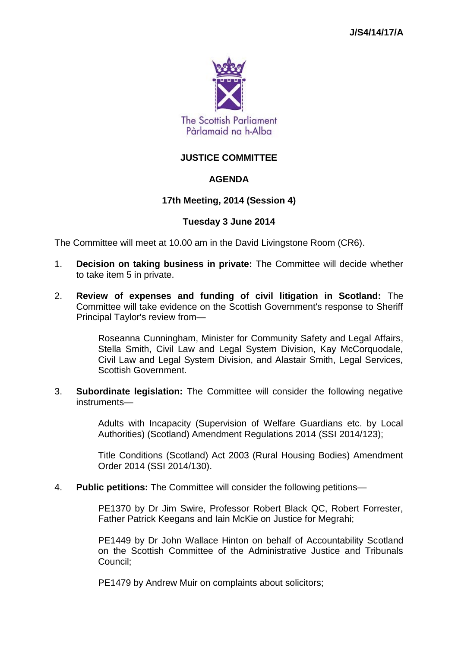

# **JUSTICE COMMITTEE**

## **AGENDA**

## **17th Meeting, 2014 (Session 4)**

### **Tuesday 3 June 2014**

The Committee will meet at 10.00 am in the David Livingstone Room (CR6).

- 1. **Decision on taking business in private:** The Committee will decide whether to take item 5 in private.
- 2. **Review of expenses and funding of civil litigation in Scotland:** The Committee will take evidence on the Scottish Government's response to Sheriff Principal Taylor's review from—

Roseanna Cunningham, Minister for Community Safety and Legal Affairs, Stella Smith, Civil Law and Legal System Division, Kay McCorquodale, Civil Law and Legal System Division, and Alastair Smith, Legal Services, Scottish Government.

3. **Subordinate legislation:** The Committee will consider the following negative instruments—

> Adults with Incapacity (Supervision of Welfare Guardians etc. by Local Authorities) (Scotland) Amendment Regulations 2014 (SSI 2014/123);

> Title Conditions (Scotland) Act 2003 (Rural Housing Bodies) Amendment Order 2014 (SSI 2014/130).

4. **Public petitions:** The Committee will consider the following petitions—

PE1370 by Dr Jim Swire, Professor Robert Black QC, Robert Forrester, Father Patrick Keegans and Iain McKie on Justice for Megrahi;

PE1449 by Dr John Wallace Hinton on behalf of Accountability Scotland on the Scottish Committee of the Administrative Justice and Tribunals Council;

PE1479 by Andrew Muir on complaints about solicitors;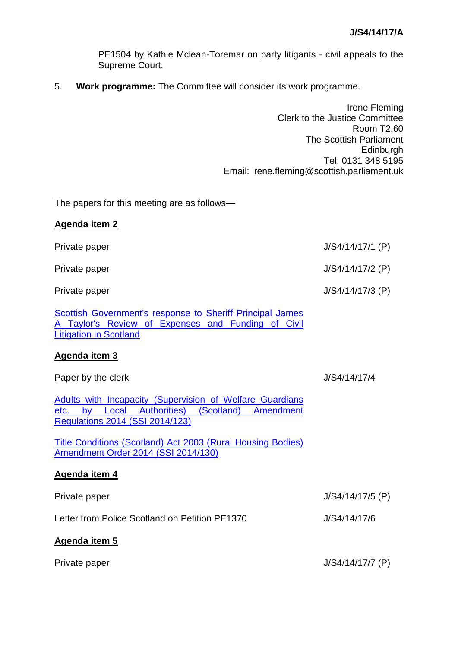PE1504 by Kathie Mclean-Toremar on party litigants - civil appeals to the Supreme Court.

5. **Work programme:** The Committee will consider its work programme.

Irene Fleming Clerk to the Justice Committee Room T2.60 The Scottish Parliament Edinburgh Tel: 0131 348 5195 Email: irene.fleming@scottish.parliament.uk

The papers for this meeting are as follows—

| <b>Agenda item 2</b>                                                                                                                                           |                    |
|----------------------------------------------------------------------------------------------------------------------------------------------------------------|--------------------|
| Private paper                                                                                                                                                  | $J/S4/14/17/1$ (P) |
| Private paper                                                                                                                                                  | J/S4/14/17/2 (P)   |
| Private paper                                                                                                                                                  | J/S4/14/17/3 (P)   |
| <b>Scottish Government's response to Sheriff Principal James</b><br>Taylor's Review of Expenses and Funding of Civil<br><b>Litigation in Scotland</b>          |                    |
| Agenda item 3                                                                                                                                                  |                    |
| Paper by the clerk                                                                                                                                             | J/S4/14/17/4       |
| Adults with Incapacity (Supervision of Welfare Guardians<br>(Scotland)<br>by Local Authorities)<br>Amendment<br>etc.<br><b>Regulations 2014 (SSI 2014/123)</b> |                    |
| Title Conditions (Scotland) Act 2003 (Rural Housing Bodies)<br>Amendment Order 2014 (SSI 2014/130)                                                             |                    |
| Agenda item 4                                                                                                                                                  |                    |
| Private paper                                                                                                                                                  | J/S4/14/17/5 (P)   |
| Letter from Police Scotland on Petition PE1370                                                                                                                 | J/S4/14/17/6       |
| <b>Agenda item 5</b>                                                                                                                                           |                    |
| Private paper                                                                                                                                                  | J/S4/14/17/7 (P)   |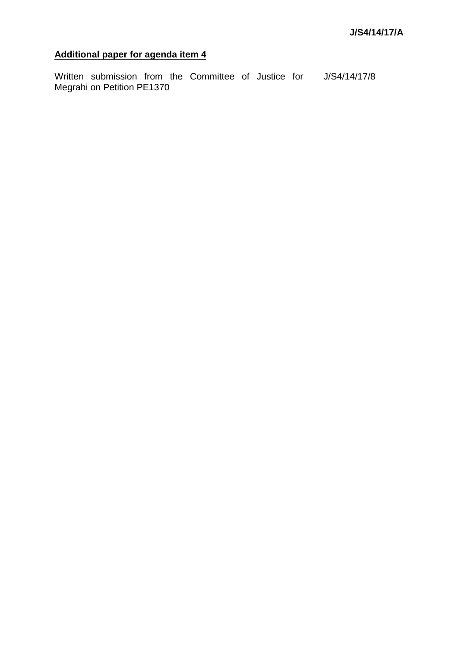# **Additional paper for agenda item 4**

Written submission from the Committee of Justice for J/S4/14/17/8Megrahi on Petition PE1370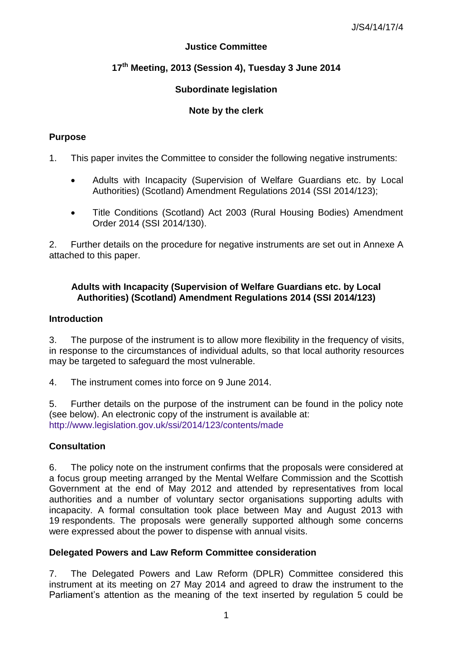# **Justice Committee**

# **17th Meeting, 2013 (Session 4), Tuesday 3 June 2014**

# **Subordinate legislation**

# **Note by the clerk**

# **Purpose**

- 1. This paper invites the Committee to consider the following negative instruments:
	- Adults with Incapacity (Supervision of Welfare Guardians etc. by Local Authorities) (Scotland) Amendment Regulations 2014 (SSI 2014/123);
	- Title Conditions (Scotland) Act 2003 (Rural Housing Bodies) Amendment Order 2014 (SSI 2014/130).

2. Further details on the procedure for negative instruments are set out in Annexe A attached to this paper.

## **Adults with Incapacity (Supervision of Welfare Guardians etc. by Local Authorities) (Scotland) Amendment Regulations 2014 (SSI 2014/123)**

### **Introduction**

3. The purpose of the instrument is to allow more flexibility in the frequency of visits, in response to the circumstances of individual adults, so that local authority resources may be targeted to safeguard the most vulnerable.

4. The instrument comes into force on 9 June 2014.

5. Further details on the purpose of the instrument can be found in the policy note (see below). An electronic copy of the instrument is available at: <http://www.legislation.gov.uk/ssi/2014/123/contents/made>

# **Consultation**

6. The policy note on the instrument confirms that the proposals were considered at a focus group meeting arranged by the Mental Welfare Commission and the Scottish Government at the end of May 2012 and attended by representatives from local authorities and a number of voluntary sector organisations supporting adults with incapacity. A formal consultation took place between May and August 2013 with 19 respondents. The proposals were generally supported although some concerns were expressed about the power to dispense with annual visits.

### **Delegated Powers and Law Reform Committee consideration**

7. The Delegated Powers and Law Reform (DPLR) Committee considered this instrument at its meeting on 27 May 2014 and agreed to draw the instrument to the Parliament's attention as the meaning of the text inserted by regulation 5 could be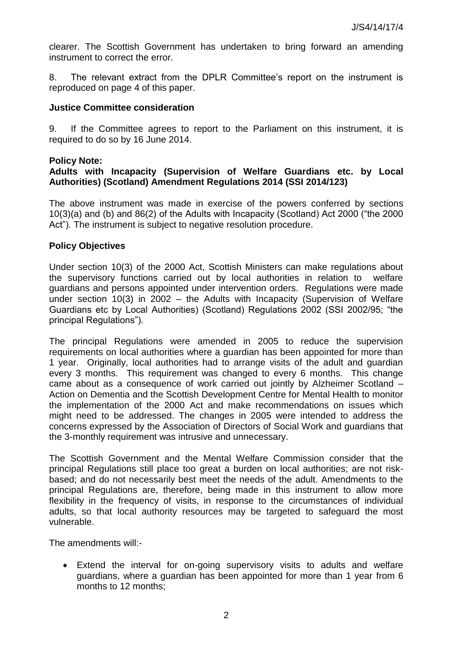clearer. The Scottish Government has undertaken to bring forward an amending instrument to correct the error.

8. The relevant extract from the DPLR Committee's report on the instrument is reproduced on page 4 of this paper.

#### **Justice Committee consideration**

9. If the Committee agrees to report to the Parliament on this instrument, it is required to do so by 16 June 2014.

#### **Policy Note:**

### **Adults with Incapacity (Supervision of Welfare Guardians etc. by Local Authorities) (Scotland) Amendment Regulations 2014 (SSI 2014/123)**

The above instrument was made in exercise of the powers conferred by sections 10(3)(a) and (b) and 86(2) of the Adults with Incapacity (Scotland) Act 2000 ("the 2000 Act"). The instrument is subject to negative resolution procedure.

#### **Policy Objectives**

Under section 10(3) of the 2000 Act, Scottish Ministers can make regulations about the supervisory functions carried out by local authorities in relation to welfare guardians and persons appointed under intervention orders. Regulations were made under section 10(3) in 2002 – the Adults with Incapacity (Supervision of Welfare Guardians etc by Local Authorities) (Scotland) Regulations 2002 (SSI 2002/95; "the principal Regulations").

The principal Regulations were amended in 2005 to reduce the supervision requirements on local authorities where a guardian has been appointed for more than 1 year. Originally, local authorities had to arrange visits of the adult and guardian every 3 months. This requirement was changed to every 6 months. This change came about as a consequence of work carried out jointly by Alzheimer Scotland – Action on Dementia and the Scottish Development Centre for Mental Health to monitor the implementation of the 2000 Act and make recommendations on issues which might need to be addressed. The changes in 2005 were intended to address the concerns expressed by the Association of Directors of Social Work and guardians that the 3-monthly requirement was intrusive and unnecessary.

The Scottish Government and the Mental Welfare Commission consider that the principal Regulations still place too great a burden on local authorities; are not riskbased; and do not necessarily best meet the needs of the adult. Amendments to the principal Regulations are, therefore, being made in this instrument to allow more flexibility in the frequency of visits, in response to the circumstances of individual adults, so that local authority resources may be targeted to safeguard the most vulnerable.

The amendments will:-

 Extend the interval for on-going supervisory visits to adults and welfare guardians, where a guardian has been appointed for more than 1 year from 6 months to 12 months;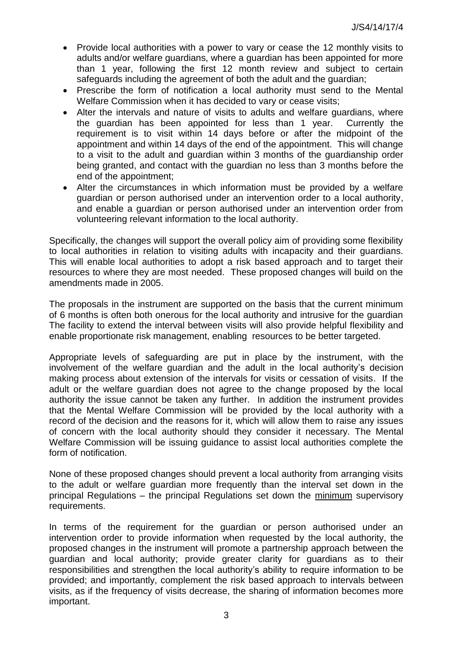- Provide local authorities with a power to vary or cease the 12 monthly visits to adults and/or welfare guardians, where a guardian has been appointed for more than 1 year, following the first 12 month review and subject to certain safeguards including the agreement of both the adult and the guardian;
- Prescribe the form of notification a local authority must send to the Mental Welfare Commission when it has decided to vary or cease visits;
- Alter the intervals and nature of visits to adults and welfare guardians, where the guardian has been appointed for less than 1 year. Currently the requirement is to visit within 14 days before or after the midpoint of the appointment and within 14 days of the end of the appointment. This will change to a visit to the adult and guardian within 3 months of the guardianship order being granted, and contact with the guardian no less than 3 months before the end of the appointment;
- Alter the circumstances in which information must be provided by a welfare guardian or person authorised under an intervention order to a local authority, and enable a guardian or person authorised under an intervention order from volunteering relevant information to the local authority.

Specifically, the changes will support the overall policy aim of providing some flexibility to local authorities in relation to visiting adults with incapacity and their guardians. This will enable local authorities to adopt a risk based approach and to target their resources to where they are most needed. These proposed changes will build on the amendments made in 2005.

The proposals in the instrument are supported on the basis that the current minimum of 6 months is often both onerous for the local authority and intrusive for the guardian The facility to extend the interval between visits will also provide helpful flexibility and enable proportionate risk management, enabling resources to be better targeted.

Appropriate levels of safeguarding are put in place by the instrument, with the involvement of the welfare guardian and the adult in the local authority's decision making process about extension of the intervals for visits or cessation of visits. If the adult or the welfare guardian does not agree to the change proposed by the local authority the issue cannot be taken any further. In addition the instrument provides that the Mental Welfare Commission will be provided by the local authority with a record of the decision and the reasons for it, which will allow them to raise any issues of concern with the local authority should they consider it necessary. The Mental Welfare Commission will be issuing guidance to assist local authorities complete the form of notification.

None of these proposed changes should prevent a local authority from arranging visits to the adult or welfare guardian more frequently than the interval set down in the principal Regulations – the principal Regulations set down the minimum supervisory requirements.

In terms of the requirement for the guardian or person authorised under an intervention order to provide information when requested by the local authority, the proposed changes in the instrument will promote a partnership approach between the guardian and local authority; provide greater clarity for guardians as to their responsibilities and strengthen the local authority's ability to require information to be provided; and importantly, complement the risk based approach to intervals between visits, as if the frequency of visits decrease, the sharing of information becomes more important.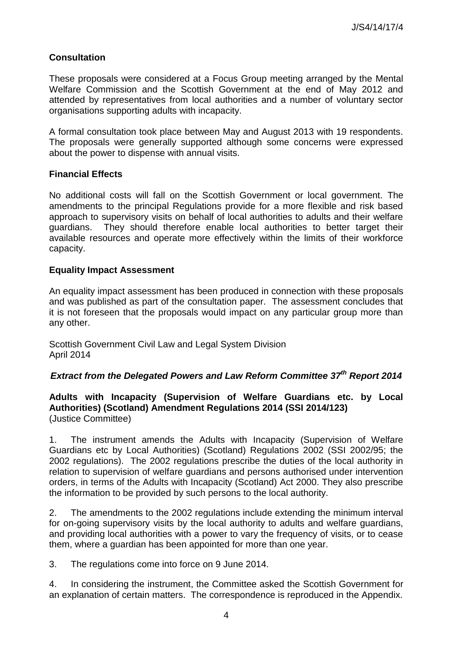# **Consultation**

These proposals were considered at a Focus Group meeting arranged by the Mental Welfare Commission and the Scottish Government at the end of May 2012 and attended by representatives from local authorities and a number of voluntary sector organisations supporting adults with incapacity.

A formal consultation took place between May and August 2013 with 19 respondents. The proposals were generally supported although some concerns were expressed about the power to dispense with annual visits.

## **Financial Effects**

No additional costs will fall on the Scottish Government or local government. The amendments to the principal Regulations provide for a more flexible and risk based approach to supervisory visits on behalf of local authorities to adults and their welfare guardians. They should therefore enable local authorities to better target their available resources and operate more effectively within the limits of their workforce capacity.

# **Equality Impact Assessment**

An equality impact assessment has been produced in connection with these proposals and was published as part of the consultation paper. The assessment concludes that it is not foreseen that the proposals would impact on any particular group more than any other.

Scottish Government Civil Law and Legal System Division April 2014

# *Extract from the Delegated Powers and Law Reform Committee 37th Report 2014*

### **Adults with Incapacity (Supervision of Welfare Guardians etc. by Local Authorities) (Scotland) Amendment Regulations 2014 (SSI 2014/123)**  (Justice Committee)

1. The instrument amends the Adults with Incapacity (Supervision of Welfare Guardians etc by Local Authorities) (Scotland) Regulations 2002 (SSI 2002/95; the 2002 regulations). The 2002 regulations prescribe the duties of the local authority in relation to supervision of welfare guardians and persons authorised under intervention orders, in terms of the Adults with Incapacity (Scotland) Act 2000. They also prescribe the information to be provided by such persons to the local authority.

2. The amendments to the 2002 regulations include extending the minimum interval for on-going supervisory visits by the local authority to adults and welfare guardians, and providing local authorities with a power to vary the frequency of visits, or to cease them, where a guardian has been appointed for more than one year.

3. The regulations come into force on 9 June 2014.

4. In considering the instrument, the Committee asked the Scottish Government for an explanation of certain matters. The correspondence is reproduced in the Appendix.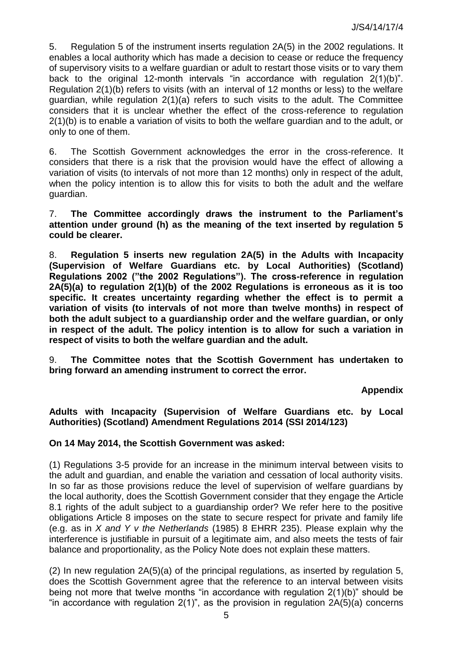5. Regulation 5 of the instrument inserts regulation 2A(5) in the 2002 regulations. It enables a local authority which has made a decision to cease or reduce the frequency of supervisory visits to a welfare guardian or adult to restart those visits or to vary them back to the original 12-month intervals "in accordance with regulation 2(1)(b)". Regulation 2(1)(b) refers to visits (with an interval of 12 months or less) to the welfare guardian, while regulation 2(1)(a) refers to such visits to the adult. The Committee considers that it is unclear whether the effect of the cross-reference to regulation 2(1)(b) is to enable a variation of visits to both the welfare guardian and to the adult, or only to one of them.

6. The Scottish Government acknowledges the error in the cross-reference. It considers that there is a risk that the provision would have the effect of allowing a variation of visits (to intervals of not more than 12 months) only in respect of the adult, when the policy intention is to allow this for visits to both the adult and the welfare guardian.

7. **The Committee accordingly draws the instrument to the Parliament's attention under ground (h) as the meaning of the text inserted by regulation 5 could be clearer.** 

8. **Regulation 5 inserts new regulation 2A(5) in the Adults with Incapacity (Supervision of Welfare Guardians etc. by Local Authorities) (Scotland) Regulations 2002 ("the 2002 Regulations"). The cross-reference in regulation 2A(5)(a) to regulation 2(1)(b) of the 2002 Regulations is erroneous as it is too specific. It creates uncertainty regarding whether the effect is to permit a variation of visits (to intervals of not more than twelve months) in respect of both the adult subject to a guardianship order and the welfare guardian, or only in respect of the adult. The policy intention is to allow for such a variation in respect of visits to both the welfare guardian and the adult.** 

9. **The Committee notes that the Scottish Government has undertaken to bring forward an amending instrument to correct the error.** 

**Appendix** 

**Adults with Incapacity (Supervision of Welfare Guardians etc. by Local Authorities) (Scotland) Amendment Regulations 2014 (SSI 2014/123)** 

# **On 14 May 2014, the Scottish Government was asked:**

(1) Regulations 3-5 provide for an increase in the minimum interval between visits to the adult and guardian, and enable the variation and cessation of local authority visits. In so far as those provisions reduce the level of supervision of welfare guardians by the local authority, does the Scottish Government consider that they engage the Article 8.1 rights of the adult subject to a guardianship order? We refer here to the positive obligations Article 8 imposes on the state to secure respect for private and family life (e.g. as in *X and Y v the Netherlands* (1985) 8 EHRR 235). Please explain why the interference is justifiable in pursuit of a legitimate aim, and also meets the tests of fair balance and proportionality, as the Policy Note does not explain these matters.

(2) In new regulation 2A(5)(a) of the principal regulations, as inserted by regulation 5, does the Scottish Government agree that the reference to an interval between visits being not more that twelve months "in accordance with regulation 2(1)(b)" should be "in accordance with regulation  $2(1)$ ", as the provision in regulation  $2A(5)(a)$  concerns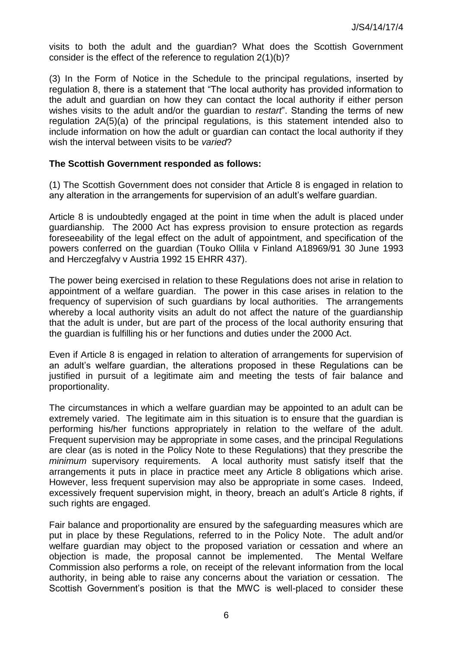visits to both the adult and the guardian? What does the Scottish Government consider is the effect of the reference to regulation 2(1)(b)?

(3) In the Form of Notice in the Schedule to the principal regulations, inserted by regulation 8, there is a statement that "The local authority has provided information to the adult and guardian on how they can contact the local authority if either person wishes visits to the adult and/or the guardian to *restart*". Standing the terms of new regulation 2A(5)(a) of the principal regulations, is this statement intended also to include information on how the adult or guardian can contact the local authority if they wish the interval between visits to be *varied*?

#### **The Scottish Government responded as follows:**

(1) The Scottish Government does not consider that Article 8 is engaged in relation to any alteration in the arrangements for supervision of an adult's welfare guardian.

Article 8 is undoubtedly engaged at the point in time when the adult is placed under guardianship. The 2000 Act has express provision to ensure protection as regards foreseeability of the legal effect on the adult of appointment, and specification of the powers conferred on the guardian (Touko Ollila v Finland A18969/91 30 June 1993 and Herczegfalvy v Austria 1992 15 EHRR 437).

The power being exercised in relation to these Regulations does not arise in relation to appointment of a welfare guardian. The power in this case arises in relation to the frequency of supervision of such guardians by local authorities. The arrangements whereby a local authority visits an adult do not affect the nature of the quardianship that the adult is under, but are part of the process of the local authority ensuring that the guardian is fulfilling his or her functions and duties under the 2000 Act.

Even if Article 8 is engaged in relation to alteration of arrangements for supervision of an adult's welfare guardian, the alterations proposed in these Regulations can be justified in pursuit of a legitimate aim and meeting the tests of fair balance and proportionality.

The circumstances in which a welfare guardian may be appointed to an adult can be extremely varied. The legitimate aim in this situation is to ensure that the guardian is performing his/her functions appropriately in relation to the welfare of the adult. Frequent supervision may be appropriate in some cases, and the principal Regulations are clear (as is noted in the Policy Note to these Regulations) that they prescribe the *minimum* supervisory requirements. A local authority must satisfy itself that the arrangements it puts in place in practice meet any Article 8 obligations which arise. However, less frequent supervision may also be appropriate in some cases. Indeed, excessively frequent supervision might, in theory, breach an adult's Article 8 rights, if such rights are engaged.

Fair balance and proportionality are ensured by the safeguarding measures which are put in place by these Regulations, referred to in the Policy Note. The adult and/or welfare guardian may object to the proposed variation or cessation and where an objection is made, the proposal cannot be implemented. The Mental Welfare Commission also performs a role, on receipt of the relevant information from the local authority, in being able to raise any concerns about the variation or cessation. The Scottish Government's position is that the MWC is well-placed to consider these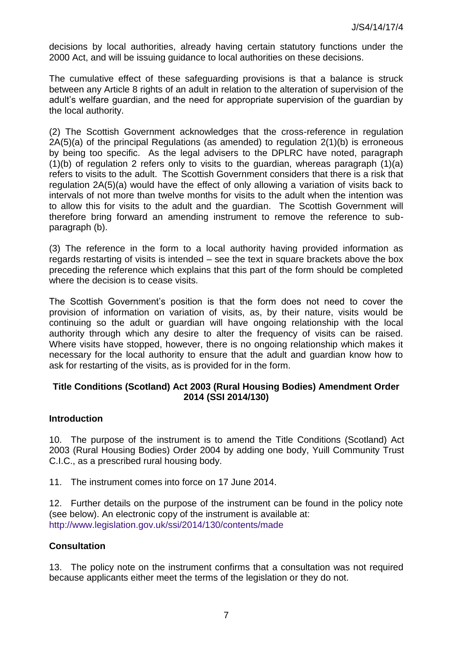decisions by local authorities, already having certain statutory functions under the 2000 Act, and will be issuing guidance to local authorities on these decisions.

The cumulative effect of these safeguarding provisions is that a balance is struck between any Article 8 rights of an adult in relation to the alteration of supervision of the adult's welfare guardian, and the need for appropriate supervision of the guardian by the local authority.

(2) The Scottish Government acknowledges that the cross-reference in regulation 2A(5)(a) of the principal Regulations (as amended) to regulation 2(1)(b) is erroneous by being too specific. As the legal advisers to the DPLRC have noted, paragraph (1)(b) of regulation 2 refers only to visits to the guardian, whereas paragraph (1)(a) refers to visits to the adult. The Scottish Government considers that there is a risk that regulation 2A(5)(a) would have the effect of only allowing a variation of visits back to intervals of not more than twelve months for visits to the adult when the intention was to allow this for visits to the adult and the guardian. The Scottish Government will therefore bring forward an amending instrument to remove the reference to subparagraph (b).

(3) The reference in the form to a local authority having provided information as regards restarting of visits is intended – see the text in square brackets above the box preceding the reference which explains that this part of the form should be completed where the decision is to cease visits.

The Scottish Government's position is that the form does not need to cover the provision of information on variation of visits, as, by their nature, visits would be continuing so the adult or guardian will have ongoing relationship with the local authority through which any desire to alter the frequency of visits can be raised. Where visits have stopped, however, there is no ongoing relationship which makes it necessary for the local authority to ensure that the adult and guardian know how to ask for restarting of the visits, as is provided for in the form.

## **Title Conditions (Scotland) Act 2003 (Rural Housing Bodies) Amendment Order 2014 (SSI 2014/130)**

### **Introduction**

10. The purpose of the instrument is to amend the Title Conditions (Scotland) Act 2003 (Rural Housing Bodies) Order 2004 by adding one body, Yuill Community Trust C.I.C., as a prescribed rural housing body.

11. The instrument comes into force on 17 June 2014.

12. Further details on the purpose of the instrument can be found in the policy note (see below). An electronic copy of the instrument is available at: <http://www.legislation.gov.uk/ssi/2014/130/contents/made>

### **Consultation**

13. The policy note on the instrument confirms that a consultation was not required because applicants either meet the terms of the legislation or they do not.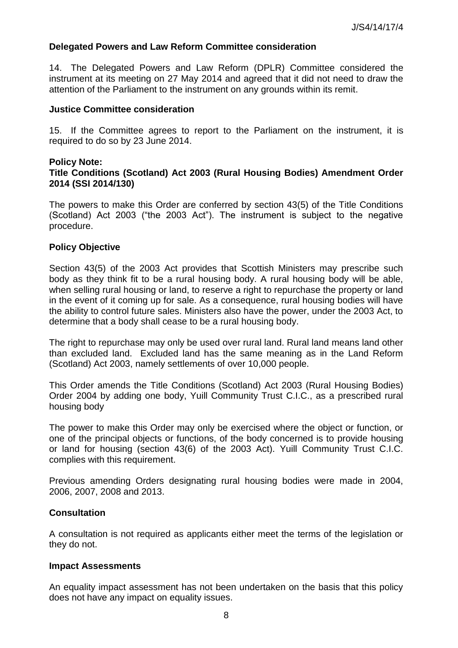### **Delegated Powers and Law Reform Committee consideration**

14. The Delegated Powers and Law Reform (DPLR) Committee considered the instrument at its meeting on 27 May 2014 and agreed that it did not need to draw the attention of the Parliament to the instrument on any grounds within its remit.

#### **Justice Committee consideration**

15. If the Committee agrees to report to the Parliament on the instrument, it is required to do so by 23 June 2014.

#### **Policy Note:**

### **Title Conditions (Scotland) Act 2003 (Rural Housing Bodies) Amendment Order 2014 (SSI 2014/130)**

The powers to make this Order are conferred by section 43(5) of the Title Conditions (Scotland) Act 2003 ("the 2003 Act"). The instrument is subject to the negative procedure.

#### **Policy Objective**

Section 43(5) of the 2003 Act provides that Scottish Ministers may prescribe such body as they think fit to be a rural housing body. A rural housing body will be able, when selling rural housing or land, to reserve a right to repurchase the property or land in the event of it coming up for sale. As a consequence, rural housing bodies will have the ability to control future sales. Ministers also have the power, under the 2003 Act, to determine that a body shall cease to be a rural housing body.

The right to repurchase may only be used over rural land. Rural land means land other than excluded land. Excluded land has the same meaning as in the Land Reform (Scotland) Act 2003, namely settlements of over 10,000 people.

This Order amends the Title Conditions (Scotland) Act 2003 (Rural Housing Bodies) Order 2004 by adding one body, Yuill Community Trust C.I.C., as a prescribed rural housing body

The power to make this Order may only be exercised where the object or function, or one of the principal objects or functions, of the body concerned is to provide housing or land for housing (section 43(6) of the 2003 Act). Yuill Community Trust C.I.C. complies with this requirement.

Previous amending Orders designating rural housing bodies were made in 2004, 2006, 2007, 2008 and 2013.

#### **Consultation**

A consultation is not required as applicants either meet the terms of the legislation or they do not.

#### **Impact Assessments**

An equality impact assessment has not been undertaken on the basis that this policy does not have any impact on equality issues.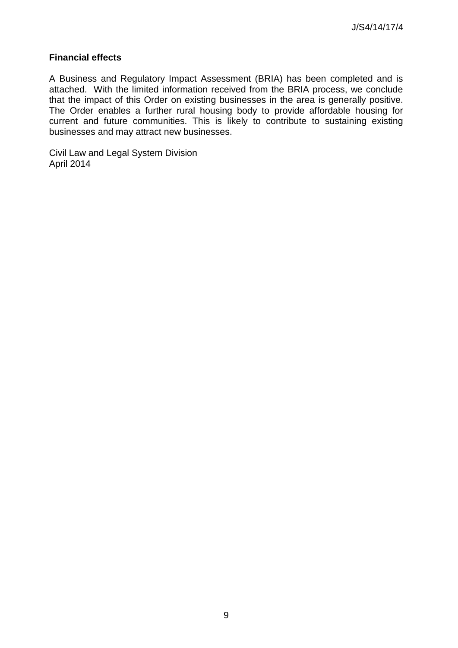## **Financial effects**

A Business and Regulatory Impact Assessment (BRIA) has been completed and is attached. With the limited information received from the BRIA process, we conclude that the impact of this Order on existing businesses in the area is generally positive. The Order enables a further rural housing body to provide affordable housing for current and future communities. This is likely to contribute to sustaining existing businesses and may attract new businesses.

Civil Law and Legal System Division April 2014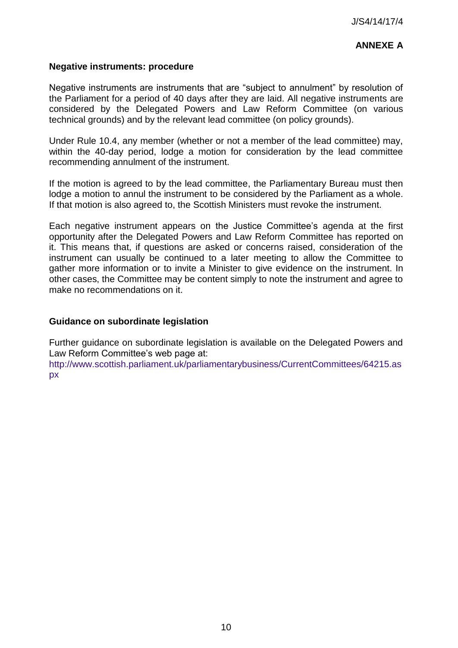# **ANNEXE A**

## **Negative instruments: procedure**

Negative instruments are instruments that are "subject to annulment" by resolution of the Parliament for a period of 40 days after they are laid. All negative instruments are considered by the Delegated Powers and Law Reform Committee (on various technical grounds) and by the relevant lead committee (on policy grounds).

Under Rule 10.4, any member (whether or not a member of the lead committee) may, within the 40-day period, lodge a motion for consideration by the lead committee recommending annulment of the instrument.

If the motion is agreed to by the lead committee, the Parliamentary Bureau must then lodge a motion to annul the instrument to be considered by the Parliament as a whole. If that motion is also agreed to, the Scottish Ministers must revoke the instrument.

Each negative instrument appears on the Justice Committee's agenda at the first opportunity after the Delegated Powers and Law Reform Committee has reported on it. This means that, if questions are asked or concerns raised, consideration of the instrument can usually be continued to a later meeting to allow the Committee to gather more information or to invite a Minister to give evidence on the instrument. In other cases, the Committee may be content simply to note the instrument and agree to make no recommendations on it.

#### **Guidance on subordinate legislation**

Further guidance on subordinate legislation is available on the Delegated Powers and Law Reform Committee's web page at:

[http://www.scottish.parliament.uk/parliamentarybusiness/CurrentCommittees/64215.as](http://www.scottish.parliament.uk/parliamentarybusiness/CurrentCommittees/64215.aspx) [px](http://www.scottish.parliament.uk/parliamentarybusiness/CurrentCommittees/64215.aspx)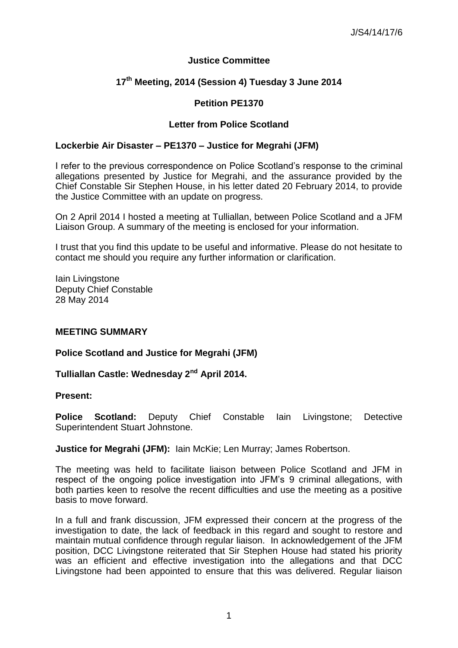## **Justice Committee**

# **17th Meeting, 2014 (Session 4) Tuesday 3 June 2014**

## **Petition PE1370**

## **Letter from Police Scotland**

#### **Lockerbie Air Disaster – PE1370 – Justice for Megrahi (JFM)**

I refer to the previous correspondence on Police Scotland's response to the criminal allegations presented by Justice for Megrahi, and the assurance provided by the Chief Constable Sir Stephen House, in his letter dated 20 February 2014, to provide the Justice Committee with an update on progress.

On 2 April 2014 I hosted a meeting at Tulliallan, between Police Scotland and a JFM Liaison Group. A summary of the meeting is enclosed for your information.

I trust that you find this update to be useful and informative. Please do not hesitate to contact me should you require any further information or clarification.

Iain Livingstone Deputy Chief Constable 28 May 2014

#### **MEETING SUMMARY**

#### **Police Scotland and Justice for Megrahi (JFM)**

### **Tulliallan Castle: Wednesday 2nd April 2014.**

#### **Present:**

**Police Scotland:** Deputy Chief Constable Iain Livingstone; Detective Superintendent Stuart Johnstone.

**Justice for Megrahi (JFM):** Iain McKie; Len Murray; James Robertson.

The meeting was held to facilitate liaison between Police Scotland and JFM in respect of the ongoing police investigation into JFM's 9 criminal allegations, with both parties keen to resolve the recent difficulties and use the meeting as a positive basis to move forward.

In a full and frank discussion, JFM expressed their concern at the progress of the investigation to date, the lack of feedback in this regard and sought to restore and maintain mutual confidence through regular liaison. In acknowledgement of the JFM position, DCC Livingstone reiterated that Sir Stephen House had stated his priority was an efficient and effective investigation into the allegations and that DCC Livingstone had been appointed to ensure that this was delivered. Regular liaison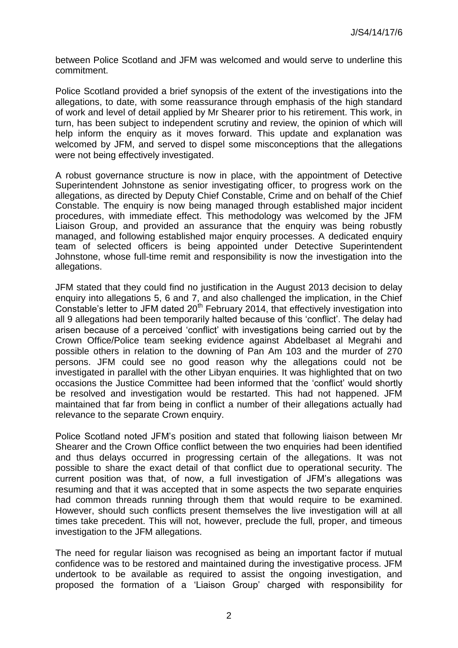between Police Scotland and JFM was welcomed and would serve to underline this commitment.

Police Scotland provided a brief synopsis of the extent of the investigations into the allegations, to date, with some reassurance through emphasis of the high standard of work and level of detail applied by Mr Shearer prior to his retirement. This work, in turn, has been subject to independent scrutiny and review, the opinion of which will help inform the enquiry as it moves forward. This update and explanation was welcomed by JFM, and served to dispel some misconceptions that the allegations were not being effectively investigated.

A robust governance structure is now in place, with the appointment of Detective Superintendent Johnstone as senior investigating officer, to progress work on the allegations, as directed by Deputy Chief Constable, Crime and on behalf of the Chief Constable. The enquiry is now being managed through established major incident procedures, with immediate effect. This methodology was welcomed by the JFM Liaison Group, and provided an assurance that the enquiry was being robustly managed, and following established major enquiry processes. A dedicated enquiry team of selected officers is being appointed under Detective Superintendent Johnstone, whose full-time remit and responsibility is now the investigation into the allegations.

JFM stated that they could find no justification in the August 2013 decision to delay enquiry into allegations 5, 6 and 7, and also challenged the implication, in the Chief Constable's letter to JFM dated 20<sup>th</sup> February 2014, that effectively investigation into all 9 allegations had been temporarily halted because of this 'conflict'. The delay had arisen because of a perceived 'conflict' with investigations being carried out by the Crown Office/Police team seeking evidence against Abdelbaset al Megrahi and possible others in relation to the downing of Pan Am 103 and the murder of 270 persons. JFM could see no good reason why the allegations could not be investigated in parallel with the other Libyan enquiries. It was highlighted that on two occasions the Justice Committee had been informed that the 'conflict' would shortly be resolved and investigation would be restarted. This had not happened. JFM maintained that far from being in conflict a number of their allegations actually had relevance to the separate Crown enquiry.

Police Scotland noted JFM's position and stated that following liaison between Mr Shearer and the Crown Office conflict between the two enquiries had been identified and thus delays occurred in progressing certain of the allegations. It was not possible to share the exact detail of that conflict due to operational security. The current position was that, of now, a full investigation of JFM's allegations was resuming and that it was accepted that in some aspects the two separate enquiries had common threads running through them that would require to be examined. However, should such conflicts present themselves the live investigation will at all times take precedent. This will not, however, preclude the full, proper, and timeous investigation to the JFM allegations.

The need for regular liaison was recognised as being an important factor if mutual confidence was to be restored and maintained during the investigative process. JFM undertook to be available as required to assist the ongoing investigation, and proposed the formation of a 'Liaison Group' charged with responsibility for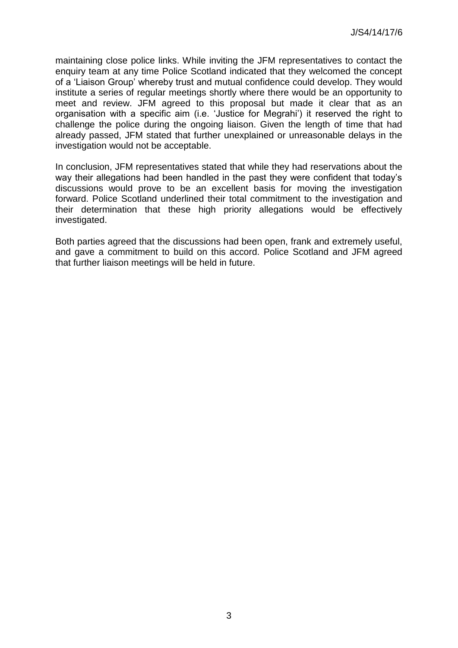maintaining close police links. While inviting the JFM representatives to contact the enquiry team at any time Police Scotland indicated that they welcomed the concept of a 'Liaison Group' whereby trust and mutual confidence could develop. They would institute a series of regular meetings shortly where there would be an opportunity to meet and review. JFM agreed to this proposal but made it clear that as an organisation with a specific aim (i.e. 'Justice for Megrahi') it reserved the right to challenge the police during the ongoing liaison. Given the length of time that had already passed, JFM stated that further unexplained or unreasonable delays in the investigation would not be acceptable.

In conclusion, JFM representatives stated that while they had reservations about the way their allegations had been handled in the past they were confident that today's discussions would prove to be an excellent basis for moving the investigation forward. Police Scotland underlined their total commitment to the investigation and their determination that these high priority allegations would be effectively investigated.

Both parties agreed that the discussions had been open, frank and extremely useful, and gave a commitment to build on this accord. Police Scotland and JFM agreed that further liaison meetings will be held in future.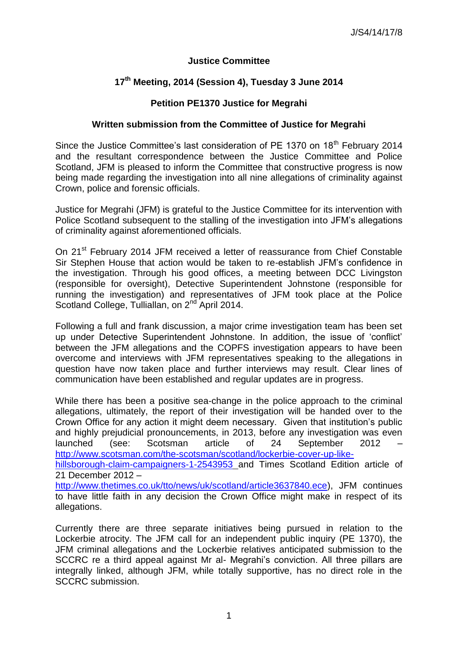## **Justice Committee**

# **17th Meeting, 2014 (Session 4), Tuesday 3 June 2014**

## **Petition PE1370 Justice for Megrahi**

### **Written submission from the Committee of Justice for Megrahi**

Since the Justice Committee's last consideration of PE 1370 on 18<sup>th</sup> February 2014 and the resultant correspondence between the Justice Committee and Police Scotland, JFM is pleased to inform the Committee that constructive progress is now being made regarding the investigation into all nine allegations of criminality against Crown, police and forensic officials.

Justice for Megrahi (JFM) is grateful to the Justice Committee for its intervention with Police Scotland subsequent to the stalling of the investigation into JFM's allegations of criminality against aforementioned officials.

On 21<sup>st</sup> February 2014 JFM received a letter of reassurance from Chief Constable Sir Stephen House that action would be taken to re-establish JFM's confidence in the investigation. Through his good offices, a meeting between DCC Livingston (responsible for oversight), Detective Superintendent Johnstone (responsible for running the investigation) and representatives of JFM took place at the Police Scotland College, Tulliallan, on 2<sup>nd</sup> April 2014.

Following a full and frank discussion, a major crime investigation team has been set up under Detective Superintendent Johnstone. In addition, the issue of 'conflict' between the JFM allegations and the COPFS investigation appears to have been overcome and interviews with JFM representatives speaking to the allegations in question have now taken place and further interviews may result. Clear lines of communication have been established and regular updates are in progress.

While there has been a positive sea-change in the police approach to the criminal allegations, ultimately, the report of their investigation will be handed over to the Crown Office for any action it might deem necessary. Given that institution's public and highly prejudicial pronouncements, in 2013, before any investigation was even launched (see: Scotsman article of 24 September 2012 – [http://www.scotsman.com/the-scotsman/scotland/lockerbie-cover-up-like-](http://www.scotsman.com/the-scotsman/scotland/lockerbie-cover-up-like-hillsborough-claim-campaigners-1-2543953)

[hillsborough-claim-campaigners-1-2543953](http://www.scotsman.com/the-scotsman/scotland/lockerbie-cover-up-like-hillsborough-claim-campaigners-1-2543953) and Times Scotland Edition article of 21 December 2012 –

[http://www.thetimes.co.uk/tto/news/uk/scotland/article3637840.ece\)](http://www.thetimes.co.uk/tto/news/uk/scotland/article3637840.ece), JFM continues to have little faith in any decision the Crown Office might make in respect of its allegations.

Currently there are three separate initiatives being pursued in relation to the Lockerbie atrocity. The JFM call for an independent public inquiry (PE 1370), the JFM criminal allegations and the Lockerbie relatives anticipated submission to the SCCRC re a third appeal against Mr al- Megrahi's conviction. All three pillars are integrally linked, although JFM, while totally supportive, has no direct role in the SCCRC submission.